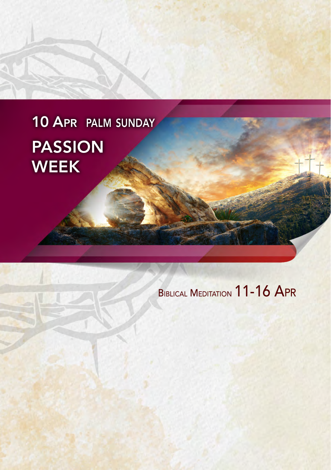## 10 APR PALM SUNDAY PASSION **WEEK**

BIBLICAL MEDITATION 11-16 APR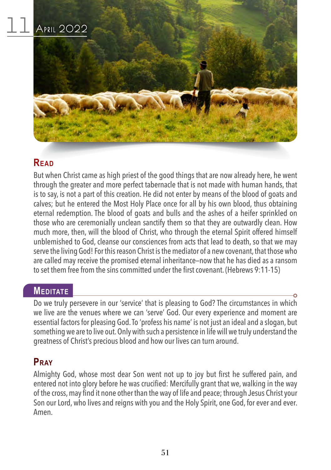

But when Christ came as high priest of the good things that are now already here, he went through the greater and more perfect tabernacle that is not made with human hands, that is to say, is not a part of this creation. He did not enter by means of the blood of goats and calves; but he entered the Most Holy Place once for all by his own blood, thus obtaining eternal redemption. The blood of goats and bulls and the ashes of a heifer sprinkled on those who are ceremonially unclean sanctify them so that they are outwardly clean. How much more, then, will the blood of Christ, who through the eternal Spirit offered himself unblemished to God, cleanse our consciences from acts that lead to death, so that we may serve the living God! For this reason Christ is the mediator of a new covenant, that those who are called may receive the promised eternal inheritance—now that he has died as a ransom to set them free from the sins committed under the first covenant. (Hebrews 9:11-15)

#### **MEDITATE**

Do we truly persevere in our 'service' that is pleasing to God? The circumstances in which we live are the venues where we can 'serve' God. Our every experience and moment are essential factors for pleasing God. To 'profess his name' is not just an ideal and a slogan, but something we are to live out. Only with such a persistence in life will we truly understand the greatness of Christ's precious blood and how our lives can turn around.

#### **Pray**

Almighty God, whose most dear Son went not up to joy but first he suffered pain, and entered not into glory before he was crucified: Mercifully grant that we, walking in the way of the cross, may find it none other than the way of life and peace; through Jesus Christ your Son our Lord, who lives and reigns with you and the Holy Spirit, one God, for ever and ever. Amen.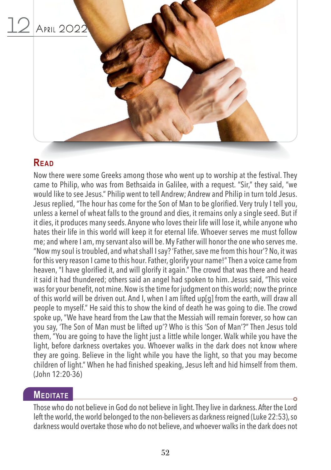

Now there were some Greeks among those who went up to worship at the festival. They came to Philip, who was from Bethsaida in Galilee, with a request. "Sir," they said, "we would like to see Jesus." Philip went to tell Andrew; Andrew and Philip in turn told Jesus. Jesus replied, "The hour has come for the Son of Man to be glorified. Very truly I tell you, unless a kernel of wheat falls to the ground and dies, it remains only a single seed. But if it dies, it produces many seeds. Anyone who loves their life will lose it, while anyone who hates their life in this world will keep it for eternal life. Whoever serves me must follow me; and where I am, my servant also will be. My Father will honor the one who serves me. "Now my soul is troubled, and what shall I say? 'Father, save me from this hour'? No, it was for this very reason I came to this hour. Father, glorify your name!" Then a voice came from heaven, "I have glorified it, and will glorify it again." The crowd that was there and heard it said it had thundered; others said an angel had spoken to him. Jesus said, "This voice was for your benefit, not mine. Now is the time for judgment on this world; now the prince of this world will be driven out. And I, when I am lifted up[g] from the earth, will draw all people to myself." He said this to show the kind of death he was going to die. The crowd spoke up, "We have heard from the Law that the Messiah will remain forever, so how can you say, 'The Son of Man must be lifted up'? Who is this 'Son of Man'?" Then Jesus told them, "You are going to have the light just a little while longer. Walk while you have the light, before darkness overtakes you. Whoever walks in the dark does not know where they are going. Believe in the light while you have the light, so that you may become children of light." When he had finished speaking, Jesus left and hid himself from them. (John 12:20-36)

#### **MEDITATE**

Those who do not believe in God do not believe in light. They live in darkness. After the Lord left the world, the world belonged to the non-believers as darkness reigned (Luke 22:53), so darkness would overtake those who do not believe, and whoever walks in the dark does not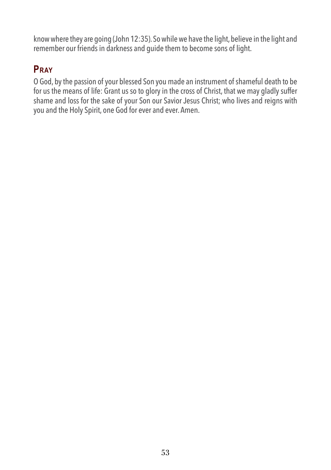know where they are going (John 12:35). So while we have the light, believe in the light and remember our friends in darkness and guide them to become sons of light.

#### **Pray**

O God, by the passion of your blessed Son you made an instrument of shameful death to be for us the means of life: Grant us so to glory in the cross of Christ, that we may gladly suffer shame and loss for the sake of your Son our Savior Jesus Christ; who lives and reigns with you and the Holy Spirit, one God for ever and ever. Amen.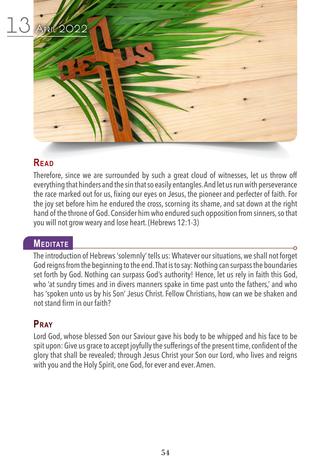

Therefore, since we are surrounded by such a great cloud of witnesses, let us throw off everything that hinders and the sin that so easily entangles. And let us run with perseverance the race marked out for us, fixing our eyes on Jesus, the pioneer and perfecter of faith. For the joy set before him he endured the cross, scorning its shame, and sat down at the right hand of the throne of God. Consider him who endured such opposition from sinners, so that you will not grow weary and lose heart. (Hebrews 12:1-3)

#### **MEDITATE**

The introduction of Hebrews 'solemnly' tells us: Whatever our situations, we shall not forget God reigns from the beginning to the end. That is to say: Nothing can surpass the boundaries set forth by God. Nothing can surpass God's authority! Hence, let us rely in faith this God, who 'at sundry times and in divers manners spake in time past unto the fathers,' and who has 'spoken unto us by his Son' Jesus Christ. Fellow Christians, how can we be shaken and not stand firm in our faith?

#### **Pray**

Lord God, whose blessed Son our Saviour gave his body to be whipped and his face to be spit upon: Give us grace to accept joyfully the sufferings of the present time, confident of the glory that shall be revealed; through Jesus Christ your Son our Lord, who lives and reigns with you and the Holy Spirit, one God, for ever and ever. Amen.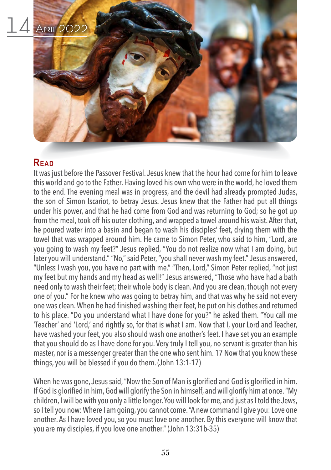

It was just before the Passover Festival. Jesus knew that the hour had come for him to leave this world and go to the Father. Having loved his own who were in the world, he loved them to the end. The evening meal was in progress, and the devil had already prompted Judas, the son of Simon Iscariot, to betray Jesus. Jesus knew that the Father had put all things under his power, and that he had come from God and was returning to God; so he got up from the meal, took off his outer clothing, and wrapped a towel around his waist. After that, he poured water into a basin and began to wash his disciples' feet, drying them with the towel that was wrapped around him. He came to Simon Peter, who said to him, "Lord, are you going to wash my feet?" Jesus replied, "You do not realize now what I am doing, but later you will understand." "No," said Peter, "you shall never wash my feet." Jesus answered, "Unless I wash you, you have no part with me." "Then, Lord," Simon Peter replied, "not just my feet but my hands and my head as well!" Jesus answered, "Those who have had a bath need only to wash their feet; their whole body is clean. And you are clean, though not every one of you." For he knew who was going to betray him, and that was why he said not every one was clean. When he had finished washing their feet, he put on his clothes and returned to his place. "Do you understand what I have done for you?" he asked them. "You call me 'Teacher' and 'Lord,' and rightly so, for that is what I am. Now that I, your Lord and Teacher, have washed your feet, you also should wash one another's feet. I have set you an example that you should do as I have done for you. Very truly I tell you, no servant is greater than his master, nor is a messenger greater than the one who sent him. 17 Now that you know these things, you will be blessed if you do them. (John 13:1-17)

When he was gone, Jesus said, "Now the Son of Man is glorified and God is glorified in him. If God is glorified in him, God will glorify the Son in himself, and will glorify him at once. "My children, I will be with you only a little longer. You will look for me, and just as I told the Jews, so I tell you now: Where I am going, you cannot come. "A new command I give you: Love one another. As I have loved you, so you must love one another. By this everyone will know that you are my disciples, if you love one another." (John 13:31b-35)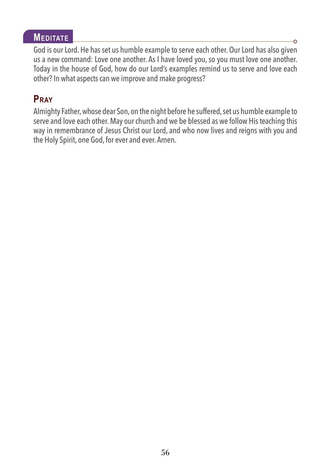#### **MEDITATE**

God is our Lord. He has set us humble example to serve each other. Our Lord has also given us a new command: Love one another. As I have loved you, so you must love one another. Today in the house of God, how do our Lord's examples remind us to serve and love each other? In what aspects can we improve and make progress?

#### **Pray**

Almighty Father, whose dear Son, on the night before he suffered, set us humble example to serve and love each other. May our church and we be blessed as we follow His teaching this way in remembrance of Jesus Christ our Lord, and who now lives and reigns with you and the Holy Spirit, one God, for ever and ever. Amen.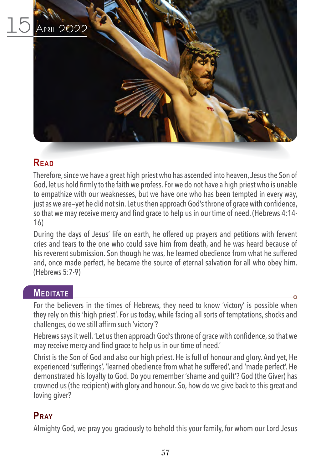

Therefore, since we have a great high priest who has ascended into heaven, Jesus the Son of God, let us hold firmly to the faith we profess. For we do not have a high priest who is unable to empathize with our weaknesses, but we have one who has been tempted in every way, just as we are—yet he did not sin. Let us then approach God's throne of grace with confidence, so that we may receive mercy and find grace to help us in our time of need. (Hebrews 4:14- 16)

During the days of Jesus' life on earth, he offered up prayers and petitions with fervent cries and tears to the one who could save him from death, and he was heard because of his reverent submission. Son though he was, he learned obedience from what he suffered and, once made perfect, he became the source of eternal salvation for all who obey him. (Hebrews 5:7-9)

#### **MEDITATE**

For the believers in the times of Hebrews, they need to know 'victory' is possible when they rely on this 'high priest'. For us today, while facing all sorts of temptations, shocks and challenges, do we still affirm such 'victory'?

Hebrews says it well, 'Let us then approach God's throne of grace with confidence, so that we may receive mercy and find grace to help us in our time of need.'

Christ is the Son of God and also our high priest. He is full of honour and glory. And yet, He experienced 'sufferings', 'learned obedience from what he suffered', and 'made perfect'. He demonstrated his loyalty to God. Do you remember 'shame and guilt'? God (the Giver) has crowned us (the recipient) with glory and honour. So, how do we give back to this great and loving giver?

#### **Pray**

Almighty God, we pray you graciously to behold this your family, for whom our Lord Jesus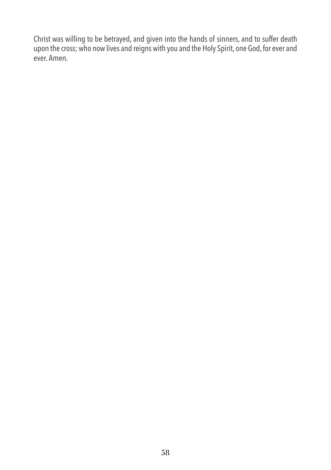Christ was willing to be betrayed, and given into the hands of sinners, and to suffer death upon the cross; who now lives and reigns with you and the Holy Spirit, one God, for ever and ever. Amen.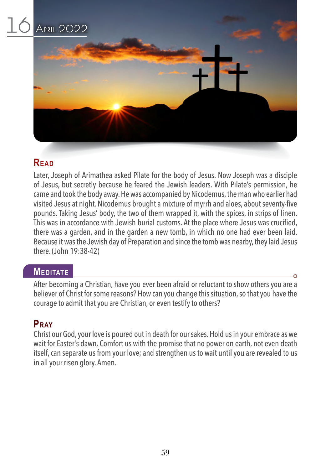

Later, Joseph of Arimathea asked Pilate for the body of Jesus. Now Joseph was a disciple of Jesus, but secretly because he feared the Jewish leaders. With Pilate's permission, he came and took the body away. He was accompanied by Nicodemus, the man who earlier had visited Jesus at night. Nicodemus brought a mixture of myrrh and aloes, about seventy-five pounds. Taking Jesus' body, the two of them wrapped it, with the spices, in strips of linen. This was in accordance with Jewish burial customs. At the place where Jesus was crucified, there was a garden, and in the garden a new tomb, in which no one had ever been laid. Because it was the Jewish day of Preparation and since the tomb was nearby, they laid Jesus there. (John 19:38-42)

#### **MEDITATE**

After becoming a Christian, have you ever been afraid or reluctant to show others you are a believer of Christ for some reasons? How can you change this situation, so that you have the courage to admit that you are Christian, or even testify to others?

#### **Pray**

Christ our God, your love is poured out in death for our sakes. Hold us in your embrace as we wait for Easter's dawn. Comfort us with the promise that no power on earth, not even death itself, can separate us from your love; and strengthen us to wait until you are revealed to us in all your risen glory. Amen.